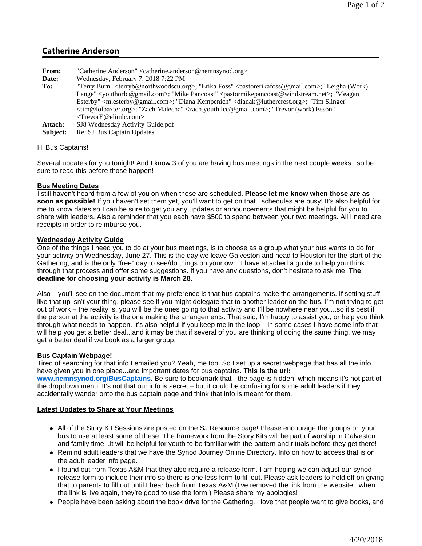# **Catherine Anderson**

- **From:** "Catherine Anderson" <catherine.anderson@nemnsynod.org>
- **Date:** Wednesday, February 7, 2018 7:22 PM
- **To:** "Terry Burn" <terryb@northwoodscu.org>; "Erika Foss" <pastorerikafoss@gmail.com>; "Leigha (Work) Lange" <youthorlc@gmail.com>; "Mike Pancoast" <pastormikepancoast@windstream.net>; "Meagan Esterby" <m.esterby@gmail.com>; "Diana Kempenich" <dianak@luthercrest.org>; "Tim Slinger" <tim@lolbaxter.org>; "Zach Malecha" <zach.youth.lcc@gmail.com>; "Trevor (work) Esson" <TrevorE@elimlc.com>
- Attach: SJ8 Wednesday Activity Guide.pdf<br> **Subject:** Re: SJ Bus Captain Updates
- Re: SJ Bus Captain Updates

### Hi Bus Captains!

Several updates for you tonight! And I know 3 of you are having bus meetings in the next couple weeks...so be sure to read this before those happen!

## **Bus Meeting Dates**

I still haven't heard from a few of you on when those are scheduled. **Please let me know when those are as** soon as possible! If you haven't set them yet, you'll want to get on that...schedules are busy! It's also helpful for me to know dates so I can be sure to get you any updates or announcements that might be helpful for you to share with leaders. Also a reminder that you each have \$500 to spend between your two meetings. All I need are receipts in order to reimburse you.

## **Wednesday Activity Guide**

One of the things I need you to do at your bus meetings, is to choose as a group what your bus wants to do for your activity on Wednesday, June 27. This is the day we leave Galveston and head to Houston for the start of the Gathering, and is the only "free" day to see/do things on your own. I have attached a guide to help you think through that process and offer some suggestions. If you have any questions, don't hesitate to ask me! **The deadline for choosing your activity is March 28.**

Also – you'll see on the document that my preference is that bus captains make the arrangements. If setting stuff like that up isn't your thing, please see if you might delegate that to another leader on the bus. I'm not trying to get out of work – the reality is, you will be the ones going to that activity and I'll be nowhere near you...so it's best if the person at the activity is the one making the arrangements. That said, I'm happy to assist you, or help you think through what needs to happen. It's also helpful if you keep me in the loop – in some cases I have some info that will help you get a better deal...and it may be that if several of you are thinking of doing the same thing, we may get a better deal if we book as a larger group.

#### **Bus Captain Webpage!**

Tired of searching for that info I emailed you? Yeah, me too. So I set up a secret webpage that has all the info I have given you in one place...and important dates for bus captains. **This is the url: www.nemnsynod.org/BusCaptains.** Be sure to bookmark that - the page is hidden, which means it's not part of the dropdown menu. It's not that our info is secret – but it could be confusing for some adult leaders if they accidentally wander onto the bus captain page and think that info is meant for them.

#### **Latest Updates to Share at Your Meetings**

- All of the Story Kit Sessions are posted on the SJ Resource page! Please encourage the groups on your bus to use at least some of these. The framework from the Story Kits will be part of worship in Galveston and family time...it will be helpful for youth to be familiar with the pattern and rituals before they get there!
- Remind adult leaders that we have the Synod Journey Online Directory. Info on how to access that is on the adult leader info page.
- I found out from Texas A&M that they also require a release form. I am hoping we can adjust our synod release form to include their info so there is one less form to fill out. Please ask leaders to hold off on giving that to parents to fill out until I hear back from Texas A&M (I've removed the link from the website...when the link is live again, they're good to use the form.) Please share my apologies!
- People have been asking about the book drive for the Gathering. I love that people want to give books, and